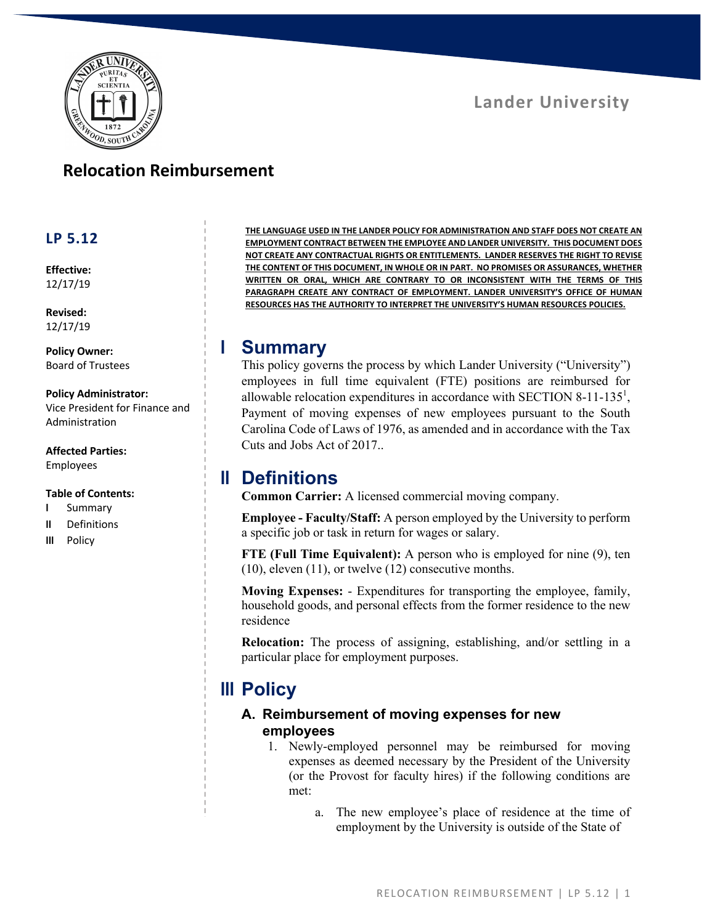

### **Lander University**

### **Relocation Reimbursement**

#### **LP 5.12**

**Effective:** 12/17/19

**Revised:** 12/17/19

**Policy Owner:** Board of Trustees

#### **Policy Administrator:**

Vice President for Finance and Administration

**Affected Parties:** Employees

#### **Table of Contents:**

- **I** Summary
- **II** Definitions
- **III** Policy

**THE LANGUAGE USED IN THE LANDER POLICY FOR ADMINISTRATION AND STAFF DOES NOT CREATE AN EMPLOYMENT CONTRACT BETWEEN THE EMPLOYEE AND LANDER UNIVERSITY. THIS DOCUMENT DOES NOT CREATE ANY CONTRACTUAL RIGHTS OR ENTITLEMENTS. LANDER RESERVES THE RIGHT TO REVISE THE CONTENT OF THIS DOCUMENT, IN WHOLE OR IN PART. NO PROMISES OR ASSURANCES, WHETHER WRITTEN OR ORAL, WHICH ARE CONTRARY TO OR INCONSISTENT WITH THE TERMS OF THIS PARAGRAPH CREATE ANY CONTRACT OF EMPLOYMENT. LANDER UNIVERSITY'S OFFICE OF HUMAN RESOURCES HAS THE AUTHORITY TO INTERPRET THE UNIVERSITY'S HUMAN RESOURCES POLICIES.**

#### **I Summary**

This policy governs the process by which Lander University ("University") employees in full time equivalent (FTE) positions are reimbursed for allowable relocation expenditures in accordance with SECTION 8-11-135<sup>1</sup>, Payment of moving expenses of new employees pursuant to the South Carolina Code of Laws of 1976, as amended and in accordance with the Tax Cuts and Jobs Act of 2017..

## **II Definitions**

**Common Carrier:** A licensed commercial moving company.

**Employee - Faculty/Staff:** A person employed by the University to perform a specific job or task in return for wages or salary.

**FTE (Full Time Equivalent):** A person who is employed for nine (9), ten (10), eleven (11), or twelve (12) consecutive months.

**Moving Expenses:** - Expenditures for transporting the employee, family, household goods, and personal effects from the former residence to the new residence

**Relocation:** The process of assigning, establishing, and/or settling in a particular place for employment purposes.

# **III Policy**

#### **A. Reimbursement of moving expenses for new employees**

- 1. Newly-employed personnel may be reimbursed for moving expenses as deemed necessary by the President of the University (or the Provost for faculty hires) if the following conditions are met:
	- a. The new employee's place of residence at the time of employment by the University is outside of the State of